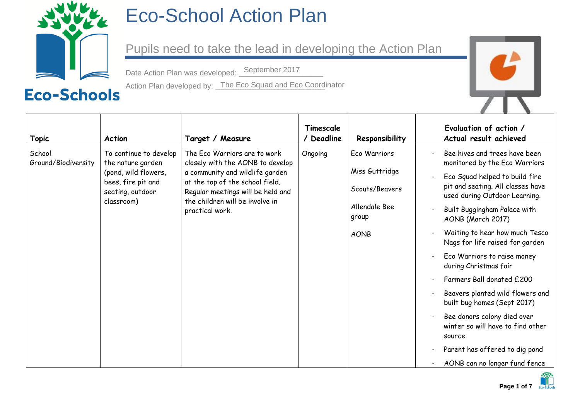

## Eco-School Action Plan

Pupils need to take the lead in developing the Action Plan

Date Action Plan was developed: September 2017

Action Plan developed by: <u>The Eco Squad and Eco Coord</u>inator



|                               |                                                      |                                                                                                                                                               | Timescale |                        | Evaluation of action /                                                     |
|-------------------------------|------------------------------------------------------|---------------------------------------------------------------------------------------------------------------------------------------------------------------|-----------|------------------------|----------------------------------------------------------------------------|
| <b>Topic</b>                  | <b>Action</b>                                        | Target / Measure                                                                                                                                              | Deadline  | Responsibility         | Actual result achieved                                                     |
| School<br>Ground/Biodiversity | To continue to develop<br>the nature garden          | The Eco Warriors are to work<br>closely with the AONB to develop                                                                                              | Ongoing   | Eco Warriors           | Bee hives and trees have been<br>monitored by the Eco Warriors             |
|                               | (pond, wild flowers,                                 | a community and wildlife garden<br>at the top of the school field.<br>Regular meetings will be held and<br>the children will be involve in<br>practical work. |           | Miss Guttridge         | Eco Squad helped to build fire                                             |
|                               | bees, fire pit and<br>seating, outdoor<br>classroom) |                                                                                                                                                               |           | Scouts/Beavers         | pit and seating. All classes have<br>used during Outdoor Learning.         |
|                               |                                                      |                                                                                                                                                               |           | Allendale Bee<br>group | Built Buggingham Palace with<br>AONB (March 2017)                          |
|                               |                                                      |                                                                                                                                                               |           | <b>AONB</b>            | Waiting to hear how much Tesco<br>Nags for life raised for garden          |
|                               |                                                      |                                                                                                                                                               |           |                        | Eco Warriors to raise money<br>during Christmas fair                       |
|                               |                                                      |                                                                                                                                                               |           |                        | Farmers Ball donated £200                                                  |
|                               |                                                      |                                                                                                                                                               |           |                        | Beavers planted wild flowers and<br>built bug homes (Sept 2017)            |
|                               |                                                      |                                                                                                                                                               |           |                        | Bee donors colony died over<br>winter so will have to find other<br>source |
|                               |                                                      |                                                                                                                                                               |           |                        | Parent has offered to dig pond                                             |
|                               |                                                      |                                                                                                                                                               |           |                        | AONB can no longer fund fence                                              |

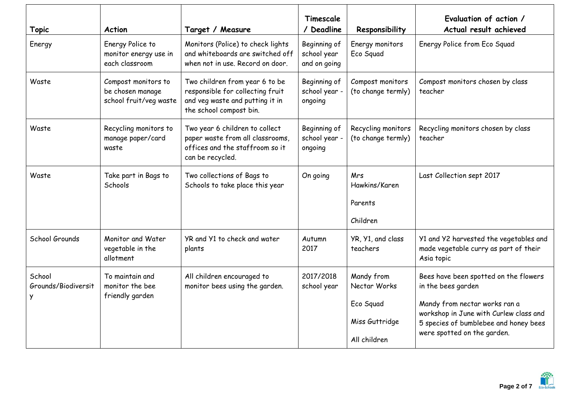| <b>Topic</b>                       | <b>Action</b>                                                     | Target / Measure                                                                                                                 | Timescale<br>/ Deadline                     | Responsibility                                                            | Evaluation of action /<br>Actual result achieved                                                                                                                                                               |
|------------------------------------|-------------------------------------------------------------------|----------------------------------------------------------------------------------------------------------------------------------|---------------------------------------------|---------------------------------------------------------------------------|----------------------------------------------------------------------------------------------------------------------------------------------------------------------------------------------------------------|
| Energy                             | Energy Police to<br>monitor energy use in<br>each classroom       | Monitors (Police) to check lights<br>and whiteboards are switched off<br>when not in use. Record on door.                        | Beginning of<br>school year<br>and on going | Energy monitors<br>Eco Squad                                              | Energy Police from Eco Squad                                                                                                                                                                                   |
| Waste                              | Compost monitors to<br>be chosen manage<br>school fruit/veg waste | Two children from year 6 to be<br>responsible for collecting fruit<br>and veg waste and putting it in<br>the school compost bin. | Beginning of<br>school year -<br>ongoing    | Compost monitors<br>(to change termly)                                    | Compost monitors chosen by class<br>teacher                                                                                                                                                                    |
| Waste                              | Recycling monitors to<br>manage paper/card<br>waste               | Two year 6 children to collect<br>paper waste from all classrooms,<br>offices and the staffroom so it<br>can be recycled.        | Beginning of<br>school year -<br>ongoing    | Recycling monitors<br>(to change termly)                                  | Recycling monitors chosen by class<br>teacher                                                                                                                                                                  |
| Waste                              | Take part in Bags to<br>Schools                                   | Two collections of Bags to<br>Schools to take place this year                                                                    | On going                                    | Mrs<br>Hawkins/Karen<br>Parents<br>Children                               | Last Collection sept 2017                                                                                                                                                                                      |
| School Grounds                     | Monitor and Water<br>vegetable in the<br>allotment                | YR and Y1 to check and water<br>plants                                                                                           | Autumn<br>2017                              | YR, Y1, and class<br>teachers                                             | Y1 and Y2 harvested the vegetables and<br>made vegetable curry as part of their<br>Asia topic                                                                                                                  |
| School<br>Grounds/Biodiversit<br>Y | To maintain and<br>monitor the bee<br>friendly garden             | All children encouraged to<br>monitor bees using the garden.                                                                     | 2017/2018<br>school year                    | Mandy from<br>Nectar Works<br>Eco Squad<br>Miss Guttridge<br>All children | Bees have been spotted on the flowers<br>in the bees garden<br>Mandy from nectar works ran a<br>workshop in June with Curlew class and<br>5 species of bumblebee and honey bees<br>were spotted on the garden. |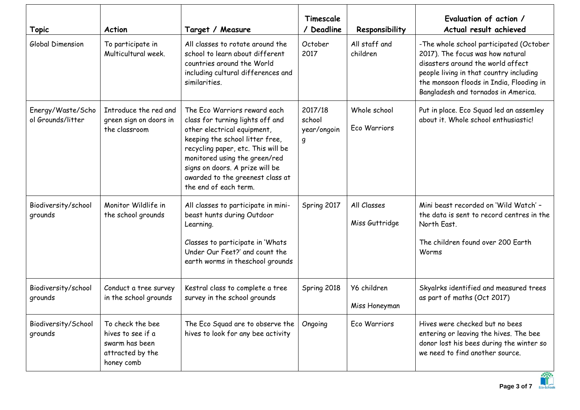| <b>Topic</b>                           | <b>Action</b>                                                                             | Target / Measure                                                                                                                                                                                                                                                                                          | Timescale<br>/ Deadline               | Responsibility                | Evaluation of action /<br>Actual result achieved                                                                                                                                                                                               |
|----------------------------------------|-------------------------------------------------------------------------------------------|-----------------------------------------------------------------------------------------------------------------------------------------------------------------------------------------------------------------------------------------------------------------------------------------------------------|---------------------------------------|-------------------------------|------------------------------------------------------------------------------------------------------------------------------------------------------------------------------------------------------------------------------------------------|
| Global Dimension                       | To participate in<br>Multicultural week.                                                  | All classes to rotate around the<br>school to learn about different<br>countries around the World<br>including cultural differences and<br>similarities.                                                                                                                                                  | October<br>2017                       | All staff and<br>children     | -The whole school participated (October<br>2017). The focus was how natural<br>disasters around the world affect<br>people living in that country including<br>the monsoon floods in India, Flooding in<br>Bangladesh and tornados in America. |
| Energy/Waste/Scho<br>ol Grounds/litter | Introduce the red and<br>green sign on doors in<br>the classroom                          | The Eco Warriors reward each<br>class for turning lights off and<br>other electrical equipment,<br>keeping the school litter free,<br>recycling paper, etc. This will be<br>monitored using the green/red<br>signs on doors. A prize will be<br>awarded to the greenest class at<br>the end of each term. | 2017/18<br>school<br>year/ongoin<br>g | Whole school<br>Eco Warriors  | Put in place. Eco Squad led an assemley<br>about it. Whole school enthusiastic!                                                                                                                                                                |
| Biodiversity/school<br>grounds         | Monitor Wildlife in<br>the school grounds                                                 | All classes to participate in mini-<br>beast hunts during Outdoor<br>Learning.<br>Classes to participate in 'Whats<br>Under Our Feet?' and count the<br>earth worms in theschool grounds                                                                                                                  | Spring 2017                           | All Classes<br>Miss Guttridge | Mini beast recorded on 'Wild Watch' -<br>the data is sent to record centres in the<br>North East.<br>The children found over 200 Earth<br>Worms                                                                                                |
| Biodiversity/school<br>grounds         | Conduct a tree survey<br>in the school grounds                                            | Kestral class to complete a tree<br>survey in the school grounds                                                                                                                                                                                                                                          | Spring 2018                           | Y6 children<br>Miss Honeyman  | Skyalrks identified and measured trees<br>as part of maths (Oct 2017)                                                                                                                                                                          |
| Biodiversity/School<br>grounds         | To check the bee<br>hives to see if a<br>swarm has been<br>attracted by the<br>honey comb | The Eco Squad are to observe the<br>hives to look for any bee activity                                                                                                                                                                                                                                    | Ongoing                               | Eco Warriors                  | Hives were checked but no bees<br>entering or leaving the hives. The bee<br>donor lost his bees during the winter so<br>we need to find another source.                                                                                        |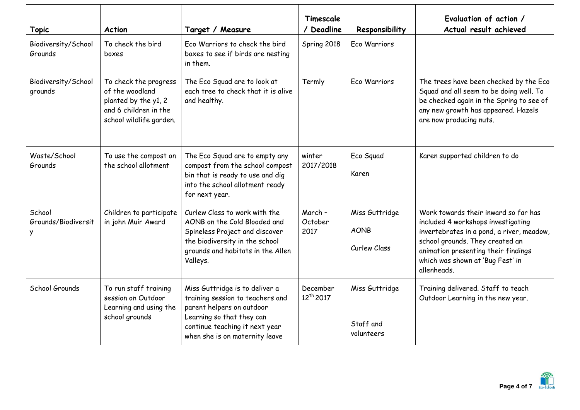| <b>Topic</b>                       | <b>Action</b>                                                                                                        | Target / Measure                                                                                                                                                                                 | Timescale<br>/ Deadline           | Responsibility                                | Evaluation of action /<br>Actual result achieved                                                                                                                                                                                                     |
|------------------------------------|----------------------------------------------------------------------------------------------------------------------|--------------------------------------------------------------------------------------------------------------------------------------------------------------------------------------------------|-----------------------------------|-----------------------------------------------|------------------------------------------------------------------------------------------------------------------------------------------------------------------------------------------------------------------------------------------------------|
| Biodiversity/School<br>Grounds     | To check the bird<br>boxes                                                                                           | Eco Warriors to check the bird<br>boxes to see if birds are nesting<br>in them.                                                                                                                  | Spring 2018                       | Eco Warriors                                  |                                                                                                                                                                                                                                                      |
| Biodiversity/School<br>grounds     | To check the progress<br>of the woodland<br>planted by the y1, 2<br>and 6 children in the<br>school wildlife garden. | The Eco Squad are to look at<br>each tree to check that it is alive<br>and healthy.                                                                                                              | Termly                            | Eco Warriors                                  | The trees have been checked by the Eco<br>Squad and all seem to be doing well. To<br>be checked again in the Spring to see of<br>any new growth has appeared. Hazels<br>are now producing nuts.                                                      |
| Waste/School<br>Grounds            | To use the compost on<br>the school allotment                                                                        | The Eco Squad are to empty any<br>compost from the school compost<br>bin that is ready to use and dig<br>into the school allotment ready<br>for next year.                                       | winter<br>2017/2018               | Eco Squad<br>Karen                            | Karen supported children to do                                                                                                                                                                                                                       |
| School<br>Grounds/Biodiversit<br>У | Children to participate<br>in john Muir Award                                                                        | Curlew Class to work with the<br>AONB on the Cold Blooded and<br>Spineless Project and discover<br>the biodiversity in the school<br>grounds and habitats in the Allen<br>Valleys.               | March -<br>October<br>2017        | Miss Guttridge<br><b>AONB</b><br>Curlew Class | Work towards their inward so far has<br>included 4 workshops investigating<br>invertebrates in a pond, a river, meadow,<br>school grounds. They created an<br>animation presenting their findings<br>which was shown at 'Bug Fest' in<br>allenheads. |
| School Grounds                     | To run staff training<br>session on Outdoor<br>Learning and using the<br>school grounds                              | Miss Guttridge is to deliver a<br>training session to teachers and<br>parent helpers on outdoor<br>Learning so that they can<br>continue teaching it next year<br>when she is on maternity leave | December<br>12 <sup>th</sup> 2017 | Miss Guttridge<br>Staff and<br>volunteers     | Training delivered. Staff to teach<br>Outdoor Learning in the new year.                                                                                                                                                                              |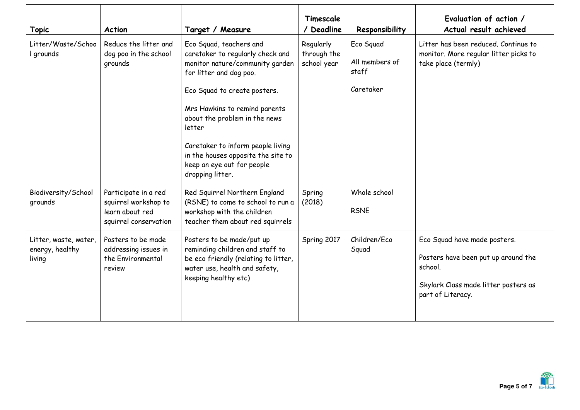| <b>Topic</b>                                       | <b>Action</b>                                                                            | Target / Measure                                                                                                                                                                                                                                                                                                                                                   | Timescale<br>/ Deadline                 | Responsibility                                    | Evaluation of action /<br>Actual result achieved                                                                                            |
|----------------------------------------------------|------------------------------------------------------------------------------------------|--------------------------------------------------------------------------------------------------------------------------------------------------------------------------------------------------------------------------------------------------------------------------------------------------------------------------------------------------------------------|-----------------------------------------|---------------------------------------------------|---------------------------------------------------------------------------------------------------------------------------------------------|
| Litter/Waste/Schoo<br>I grounds                    | Reduce the litter and<br>dog poo in the school<br>grounds                                | Eco Squad, teachers and<br>caretaker to regularly check and<br>monitor nature/community garden<br>for litter and dog poo.<br>Eco Squad to create posters.<br>Mrs Hawkins to remind parents<br>about the problem in the news<br>letter<br>Caretaker to inform people living<br>in the houses opposite the site to<br>keep an eye out for people<br>dropping litter. | Regularly<br>through the<br>school year | Eco Squad<br>All members of<br>staff<br>Caretaker | Litter has been reduced. Continue to<br>monitor. More regular litter picks to<br>take place (termly)                                        |
| Biodiversity/School<br>grounds                     | Participate in a red<br>squirrel workshop to<br>learn about red<br>squirrel conservation | Red Squirrel Northern England<br>(RSNE) to come to school to run a<br>workshop with the children<br>teacher them about red squirrels                                                                                                                                                                                                                               | Spring<br>(2018)                        | Whole school<br><b>RSNE</b>                       |                                                                                                                                             |
| Litter, waste, water,<br>energy, healthy<br>living | Posters to be made<br>addressing issues in<br>the Environmental<br>review                | Posters to be made/put up<br>reminding children and staff to<br>be eco friendly (relating to litter,<br>water use, health and safety,<br>keeping healthy etc)                                                                                                                                                                                                      | Spring 2017                             | Children/Eco<br>Squad                             | Eco Squad have made posters.<br>Posters have been put up around the<br>school.<br>Skylark Class made litter posters as<br>part of Literacy. |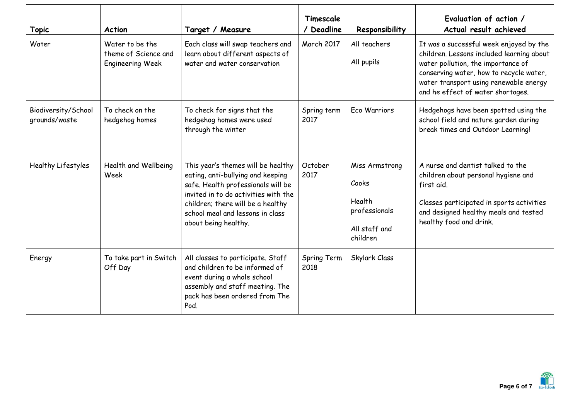| <b>Topic</b>                         | <b>Action</b>                                                      | Target / Measure                                                                                                                                                                                                                                       | Timescale<br>/ Deadline | Responsibility                                                                  | Evaluation of action /<br>Actual result achieved                                                                                                                                                                                                     |
|--------------------------------------|--------------------------------------------------------------------|--------------------------------------------------------------------------------------------------------------------------------------------------------------------------------------------------------------------------------------------------------|-------------------------|---------------------------------------------------------------------------------|------------------------------------------------------------------------------------------------------------------------------------------------------------------------------------------------------------------------------------------------------|
| Water                                | Water to be the<br>theme of Science and<br><b>Engineering Week</b> | Each class will swap teachers and<br>learn about different aspects of<br>water and water conservation                                                                                                                                                  | March 2017              | All teachers<br>All pupils                                                      | It was a successful week enjoyed by the<br>children. Lessons included learning about<br>water pollution, the importance of<br>conserving water, how to recycle water,<br>water transport using renewable energy<br>and he effect of water shortages. |
| Biodiversity/School<br>grounds/waste | To check on the<br>hedgehog homes                                  | To check for signs that the<br>hedgehog homes were used<br>through the winter                                                                                                                                                                          | Spring term<br>2017     | Eco Warriors                                                                    | Hedgehogs have been spotted using the<br>school field and nature garden during<br>break times and Outdoor Learning!                                                                                                                                  |
| Healthy Lifestyles                   | Health and Wellbeing<br>Week                                       | This year's themes will be healthy<br>eating, anti-bullying and keeping<br>safe. Health professionals will be<br>invited in to do activities with the<br>children; there will be a healthy<br>school meal and lessons in class<br>about being healthy. | October<br>2017         | Miss Armstrong<br>Cooks<br>Health<br>professionals<br>All staff and<br>children | A nurse and dentist talked to the<br>children about personal hygiene and<br>first aid.<br>Classes participated in sports activities<br>and designed healthy meals and tested<br>healthy food and drink.                                              |
| Energy                               | To take part in Switch<br>Off Day                                  | All classes to participate. Staff<br>and children to be informed of<br>event during a whole school<br>assembly and staff meeting. The<br>pack has been ordered from The<br>Pod.                                                                        | Spring Term<br>2018     | Skylark Class                                                                   |                                                                                                                                                                                                                                                      |